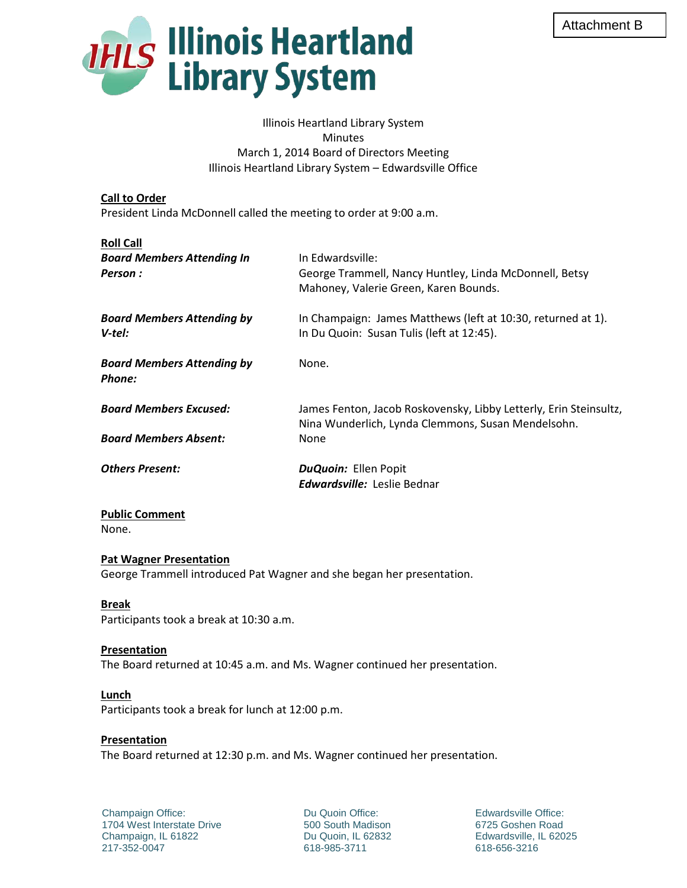

Illinois Heartland Library System **Minutes** March 1, 2014 Board of Directors Meeting Illinois Heartland Library System – Edwardsville Office

## **Call to Order**

President Linda McDonnell called the meeting to order at 9:00 a.m.

| <b>Roll Call</b>                             |                                                                                                                         |
|----------------------------------------------|-------------------------------------------------------------------------------------------------------------------------|
| <b>Board Members Attending In</b><br>Person: | In Edwardsville:<br>George Trammell, Nancy Huntley, Linda McDonnell, Betsy<br>Mahoney, Valerie Green, Karen Bounds.     |
| <b>Board Members Attending by</b><br>V-tel:  | In Champaign: James Matthews (left at 10:30, returned at 1).<br>In Du Quoin: Susan Tulis (left at 12:45).               |
| <b>Board Members Attending by</b><br>Phone:  | None.                                                                                                                   |
| <b>Board Members Excused:</b>                | James Fenton, Jacob Roskovensky, Libby Letterly, Erin Steinsultz,<br>Nina Wunderlich, Lynda Clemmons, Susan Mendelsohn. |
| <b>Board Members Absent:</b>                 | None                                                                                                                    |
| <b>Others Present:</b>                       | <b>DuQuoin: Ellen Popit</b><br><b>Edwardsville:</b> Leslie Bednar                                                       |

#### **Public Comment** None.

### **Pat Wagner Presentation**

George Trammell introduced Pat Wagner and she began her presentation.

# **Break**

Participants took a break at 10:30 a.m.

### **Presentation**

The Board returned at 10:45 a.m. and Ms. Wagner continued her presentation.

### **Lunch**

Participants took a break for lunch at 12:00 p.m.

### **Presentation**

The Board returned at 12:30 p.m. and Ms. Wagner continued her presentation.

Champaign Office: 1704 West Interstate Drive Champaign, IL 61822 217-352-0047

Du Quoin Office: 500 South Madison Du Quoin, IL 62832 618-985-3711

Edwardsville Office: 6725 Goshen Road Edwardsville, IL 62025 618-656-3216